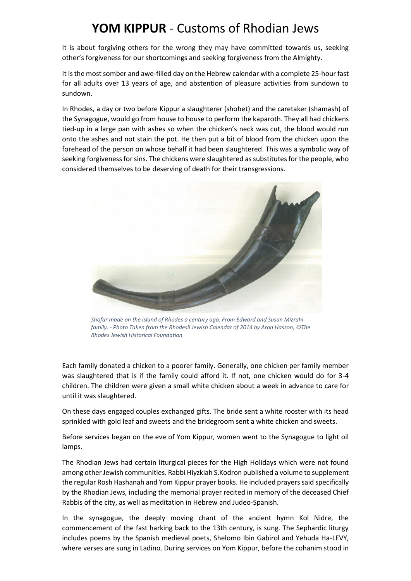## **YOM KIPPUR** - Customs of Rhodian Jews

It is about forgiving others for the wrong they may have committed towards us, seeking other's forgiveness for our shortcomings and seeking forgiveness from the Almighty.

It is the most somber and awe-filled day on the Hebrew calendar with a complete 25-hour fast for all adults over 13 years of age, and abstention of pleasure activities from sundown to sundown.

In Rhodes, a day or two before Kippur a slaughterer (shohet) and the caretaker (shamash) of the Synagogue, would go from house to house to perform the kaparoth. They all had chickens tied-up in a large pan with ashes so when the chicken's neck was cut, the blood would run onto the ashes and not stain the pot. He then put a bit of blood from the chicken upon the forehead of the person on whose behalf it had been slaughtered. This was a symbolic way of seeking forgiveness for sins. The chickens were slaughtered as substitutes for the people, who considered themselves to be deserving of death for their transgressions.



*Shofar made on the island of Rhodes a century ago. From Edward and Susan Mizrahi family. - Photo Taken from the Rhodesli Jewish Calendar of 2014 by Aron Hasson, ©The Rhodes Jewish Historical Foundation*

Each family donated a chicken to a poorer family. Generally, one chicken per family member was slaughtered that is if the family could afford it. If not, one chicken would do for 3-4 children. The children were given a small white chicken about a week in advance to care for until it was slaughtered.

On these days engaged couples exchanged gifts. The bride sent a white rooster with its head sprinkled with gold leaf and sweets and the bridegroom sent a white chicken and sweets.

Before services began on the eve of Yom Kippur, women went to the Synagogue to light oil lamps.

The Rhodian Jews had certain liturgical pieces for the High Holidays which were not found among other Jewish communities. Rabbi Hiyzkiah S.Kodron published a volume to supplement the regular Rosh Hashanah and Yom Kippur prayer books. He included prayers said specifically by the Rhodian Jews, including the memorial prayer recited in memory of the deceased Chief Rabbis of the city, as well as meditation in Hebrew and Judeo-Spanish.

In the synagogue, the deeply moving chant of the ancient hymn Kol Nidre, the commencement of the fast harking back to the 13th century, is sung. The Sephardic liturgy includes poems by the Spanish medieval poets, Shelomo Ibin Gabirol and Yehuda Ha-LEVY, where verses are sung in Ladino. During services on Yom Kippur, before the cohanim stood in